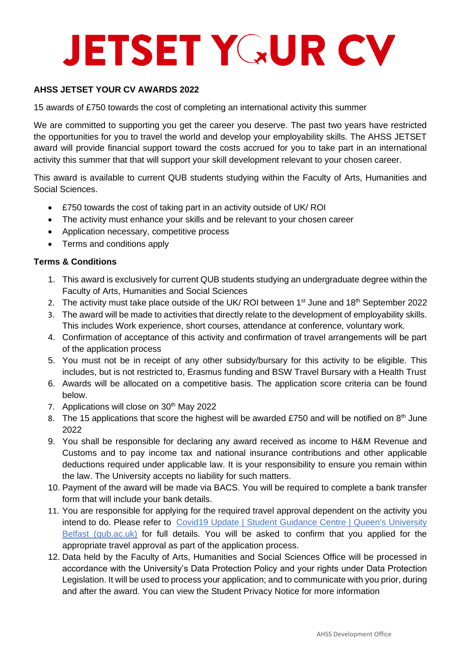## **JETSET YGUR CV**

### **AHSS JETSET YOUR CV AWARDS 2022**

15 awards of £750 towards the cost of completing an international activity this summer

We are committed to supporting you get the career you deserve. The past two years have restricted the opportunities for you to travel the world and develop your employability skills. The AHSS JETSET award will provide financial support toward the costs accrued for you to take part in an international activity this summer that that will support your skill development relevant to your chosen career.

This award is available to current QUB students studying within the Faculty of Arts, Humanities and Social Sciences.

- £750 towards the cost of taking part in an activity outside of UK/ ROI
- The activity must enhance your skills and be relevant to your chosen career
- Application necessary, competitive process
- Terms and conditions apply

### **Terms & Conditions**

- 1. This award is exclusively for current QUB students studying an undergraduate degree within the Faculty of Arts, Humanities and Social Sciences
- 2. The activity must take place outside of the UK/ ROI between  $1<sup>st</sup>$  June and  $18<sup>th</sup>$  September 2022
- 3. The award will be made to activities that directly relate to the development of employability skills. This includes Work experience, short courses, attendance at conference, voluntary work.
- 4. Confirmation of acceptance of this activity and confirmation of travel arrangements will be part of the application process
- 5. You must not be in receipt of any other subsidy/bursary for this activity to be eligible. This includes, but is not restricted to, Erasmus funding and BSW Travel Bursary with a Health Trust
- 6. Awards will be allocated on a competitive basis. The application score criteria can be found below.
- 7. Applications will close on 30<sup>th</sup> May 2022
- 8. The 15 applications that score the highest will be awarded £750 and will be notified on  $8<sup>th</sup>$  June 2022
- 9. You shall be responsible for declaring any award received as income to H&M Revenue and Customs and to pay income tax and national insurance contributions and other applicable deductions required under applicable law. It is your responsibility to ensure you remain within the law. The University accepts no liability for such matters.
- 10. Payment of the award will be made via BACS. You will be required to complete a bank transfer form that will include your bank details.
- 11. You are responsible for applying for the required travel approval dependent on the activity you intend to do. Please refer to Covid19 Update | Student Guidance Centre | Queen's University [Belfast \(qub.ac.uk\)](https://www.qub.ac.uk/directorates/sgc/careers/GlobalOpportunities/Covid19Update/) for full details. You will be asked to confirm that you applied for the appropriate travel approval as part of the application process.
- 12. Data held by the Faculty of Arts, Humanities and Social Sciences Office will be processed in accordance with the University's Data Protection Policy and your rights under Data Protection Legislation. It will be used to process your application; and to communicate with you prior, during and after the award. You can view the Student Privacy Notice for more information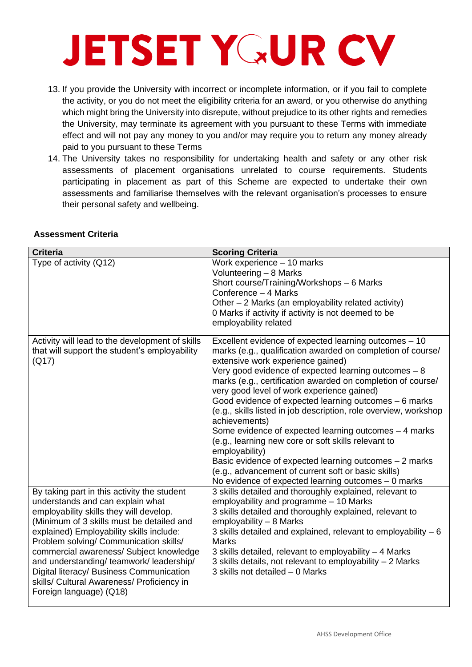### **JETSET YGUR CV**

- 13. If you provide the University with incorrect or incomplete information, or if you fail to complete the activity, or you do not meet the eligibility criteria for an award, or you otherwise do anything which might bring the University into disrepute, without prejudice to its other rights and remedies the University, may terminate its agreement with you pursuant to these Terms with immediate effect and will not pay any money to you and/or may require you to return any money already paid to you pursuant to these Terms
- 14. The University takes no responsibility for undertaking health and safety or any other risk assessments of placement organisations unrelated to course requirements. Students participating in placement as part of this Scheme are expected to undertake their own assessments and familiarise themselves with the relevant organisation's processes to ensure their personal safety and wellbeing.

| <b>Criteria</b>                                                                                                                                                                                                                                                                                                                                                                                                                                                           | <b>Scoring Criteria</b>                                                                                                                                                                                                                                                                                                                                                                                                                                                                                                                                                                                                                                                                                                                                                                |
|---------------------------------------------------------------------------------------------------------------------------------------------------------------------------------------------------------------------------------------------------------------------------------------------------------------------------------------------------------------------------------------------------------------------------------------------------------------------------|----------------------------------------------------------------------------------------------------------------------------------------------------------------------------------------------------------------------------------------------------------------------------------------------------------------------------------------------------------------------------------------------------------------------------------------------------------------------------------------------------------------------------------------------------------------------------------------------------------------------------------------------------------------------------------------------------------------------------------------------------------------------------------------|
| Type of activity (Q12)                                                                                                                                                                                                                                                                                                                                                                                                                                                    | Work experience - 10 marks<br>Volunteering - 8 Marks<br>Short course/Training/Workshops - 6 Marks<br>Conference - 4 Marks<br>Other - 2 Marks (an employability related activity)<br>0 Marks if activity if activity is not deemed to be<br>employability related                                                                                                                                                                                                                                                                                                                                                                                                                                                                                                                       |
| Activity will lead to the development of skills<br>that will support the student's employability<br>(Q17)                                                                                                                                                                                                                                                                                                                                                                 | Excellent evidence of expected learning outcomes - 10<br>marks (e.g., qualification awarded on completion of course/<br>extensive work experience gained)<br>Very good evidence of expected learning outcomes - 8<br>marks (e.g., certification awarded on completion of course/<br>very good level of work experience gained)<br>Good evidence of expected learning outcomes – 6 marks<br>(e.g., skills listed in job description, role overview, workshop<br>achievements)<br>Some evidence of expected learning outcomes - 4 marks<br>(e.g., learning new core or soft skills relevant to<br>employability)<br>Basic evidence of expected learning outcomes - 2 marks<br>(e.g., advancement of current soft or basic skills)<br>No evidence of expected learning outcomes - 0 marks |
| By taking part in this activity the student<br>understands and can explain what<br>employability skills they will develop.<br>(Minimum of 3 skills must be detailed and<br>explained) Employability skills include:<br>Problem solving/ Communication skills/<br>commercial awareness/ Subject knowledge<br>and understanding/ teamwork/ leadership/<br>Digital literacy/ Business Communication<br>skills/ Cultural Awareness/ Proficiency in<br>Foreign language) (Q18) | 3 skills detailed and thoroughly explained, relevant to<br>employability and programme - 10 Marks<br>3 skills detailed and thoroughly explained, relevant to<br>employability - 8 Marks<br>3 skills detailed and explained, relevant to employability - 6<br><b>Marks</b><br>3 skills detailed, relevant to employability - 4 Marks<br>3 skills details, not relevant to employability – 2 Marks<br>3 skills not detailed - 0 Marks                                                                                                                                                                                                                                                                                                                                                    |

### **Assessment Criteria**